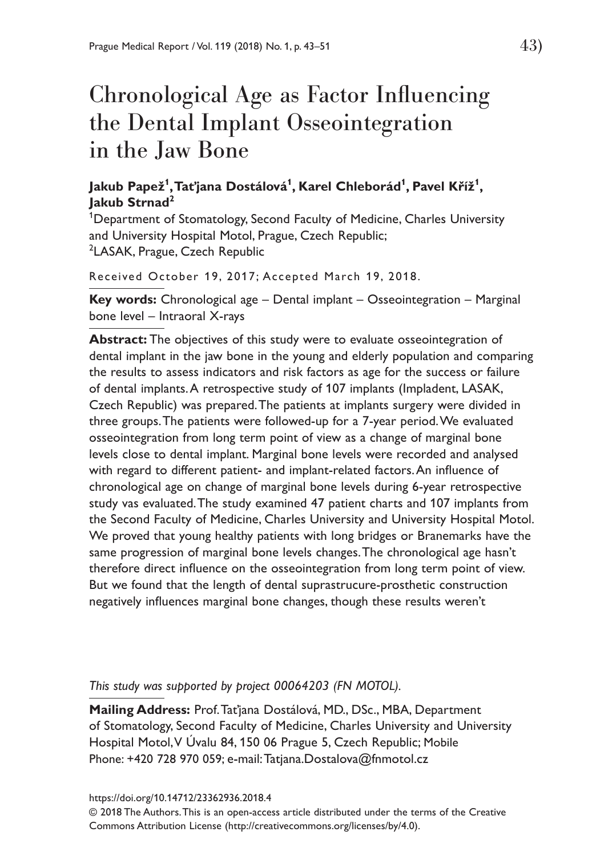# Chronological Age as Factor Influencing the Dental Implant Osseointegration in the Jaw Bone

# **Jakub Papež<sup>1</sup> , Taťjana Dostálová<sup>1</sup> , Karel Chleborád<sup>1</sup> , Pavel Kříž<sup>1</sup> , Jakub Strnad<sup>2</sup>**

<sup>1</sup>Department of Stomatology, Second Faculty of Medicine, Charles University and University Hospital Motol, Prague, Czech Republic; <sup>2</sup>LASAK, Prague, Czech Republic

Received October 19, 2017; Accepted March 19, 2018.

**Key words:** Chronological age – Dental implant – Osseointegration – Marginal bone level – Intraoral X-rays

**Abstract:** The objectives of this study were to evaluate osseointegration of dental implant in the jaw bone in the young and elderly population and comparing the results to assess indicators and risk factors as age for the success or failure of dental implants. A retrospective study of 107 implants (Impladent, LASAK, Czech Republic) was prepared. The patients at implants surgery were divided in three groups. The patients were followed-up for a 7-year period. We evaluated osseointegration from long term point of view as a change of marginal bone levels close to dental implant. Marginal bone levels were recorded and analysed with regard to different patient- and implant-related factors. An influence of chronological age on change of marginal bone levels during 6-year retrospective study vas evaluated. The study examined 47 patient charts and 107 implants from the Second Faculty of Medicine, Charles University and University Hospital Motol. We proved that young healthy patients with long bridges or Branemarks have the same progression of marginal bone levels changes. The chronological age hasn't therefore direct influence on the osseointegration from long term point of view. But we found that the length of dental suprastrucure-prosthetic construction negatively influences marginal bone changes, though these results weren't

*This study was supported by project 00064203 (FN MOTOL).*

**Mailing Address:** Prof. Taťjana Dostálová, MD., DSc., MBA, Department of Stomatology, Second Faculty of Medicine, Charles University and University Hospital Motol, V Úvalu 84, 150 06 Prague 5, Czech Republic; Mobile Phone: +420 728 970 059; e-mail: Tatjana.Dostalova@fnmotol.cz

https://doi.org/10.14712/23362936.2018.4

© 2018 The Authors. This is an open-access article distributed under the terms of the Creative Commons Attribution License (http://creativecommons.org/licenses/by/4.0).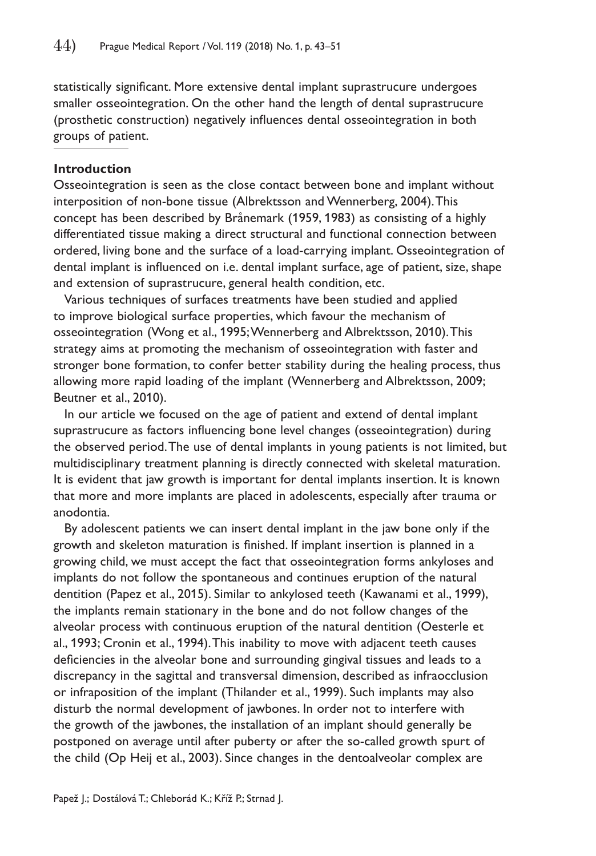statistically significant. More extensive dental implant suprastrucure undergoes smaller osseointegration. On the other hand the length of dental suprastrucure (prosthetic construction) negatively influences dental osseointegration in both groups of patient.

## **Introduction**

Osseointegration is seen as the close contact between bone and implant without interposition of non-bone tissue (Albrektsson and Wennerberg, 2004). This concept has been described by Brånemark (1959, 1983) as consisting of a highly differentiated tissue making a direct structural and functional connection between ordered, living bone and the surface of a load-carrying implant. Osseointegration of dental implant is influenced on i.e. dental implant surface, age of patient, size, shape and extension of suprastrucure, general health condition, etc.

Various techniques of surfaces treatments have been studied and applied to improve biological surface properties, which favour the mechanism of osseointegration (Wong et al., 1995; Wennerberg and Albrektsson, 2010). This strategy aims at promoting the mechanism of osseointegration with faster and stronger bone formation, to confer better stability during the healing process, thus allowing more rapid loading of the implant (Wennerberg and Albrektsson, 2009; Beutner et al., 2010).

In our article we focused on the age of patient and extend of dental implant suprastrucure as factors influencing bone level changes (osseointegration) during the observed period. The use of dental implants in young patients is not limited, but multidisciplinary treatment planning is directly connected with skeletal maturation. It is evident that jaw growth is important for dental implants insertion. It is known that more and more implants are placed in adolescents, especially after trauma or anodontia.

By adolescent patients we can insert dental implant in the jaw bone only if the growth and skeleton maturation is finished. If implant insertion is planned in a growing child, we must accept the fact that osseointegration forms ankyloses and implants do not follow the spontaneous and continues eruption of the natural dentition (Papez et al., 2015). Similar to ankylosed teeth (Kawanami et al., 1999), the implants remain stationary in the bone and do not follow changes of the alveolar process with continuous eruption of the natural dentition (Oesterle et al., 1993; Cronin et al., 1994). This inability to move with adjacent teeth causes deficiencies in the alveolar bone and surrounding gingival tissues and leads to a discrepancy in the sagittal and transversal dimension, described as infraocclusion or infraposition of the implant (Thilander et al., 1999). Such implants may also disturb the normal development of jawbones. In order not to interfere with the growth of the jawbones, the installation of an implant should generally be postponed on average until after puberty or after the so-called growth spurt of the child (Op Heij et al., 2003). Since changes in the dentoalveolar complex are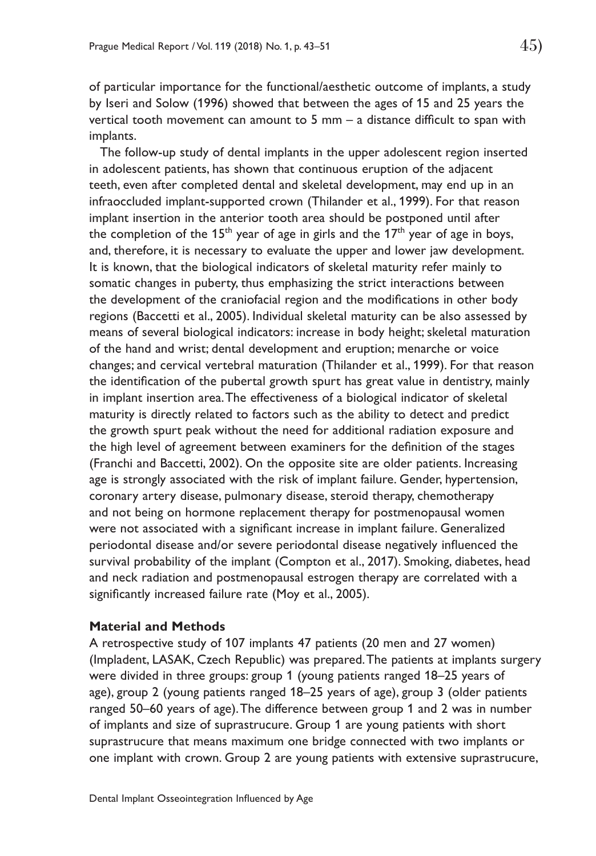of particular importance for the functional/aesthetic outcome of implants, a study by Iseri and Solow (1996) showed that between the ages of 15 and 25 years the vertical tooth movement can amount to 5 mm – a distance difficult to span with implants.

The follow-up study of dental implants in the upper adolescent region inserted in adolescent patients, has shown that continuous eruption of the adjacent teeth, even after completed dental and skeletal development, may end up in an infraoccluded implant-supported crown (Thilander et al., 1999). For that reason implant insertion in the anterior tooth area should be postponed until after the completion of the 15<sup>th</sup> year of age in girls and the  $17<sup>th</sup>$  year of age in boys, and, therefore, it is necessary to evaluate the upper and lower jaw development. It is known, that the biological indicators of skeletal maturity refer mainly to somatic changes in puberty, thus emphasizing the strict interactions between the development of the craniofacial region and the modifications in other body regions (Baccetti et al., 2005). Individual skeletal maturity can be also assessed by means of several biological indicators: increase in body height; skeletal maturation of the hand and wrist; dental development and eruption; menarche or voice changes; and cervical vertebral maturation (Thilander et al., 1999). For that reason the identification of the pubertal growth spurt has great value in dentistry, mainly in implant insertion area. The effectiveness of a biological indicator of skeletal maturity is directly related to factors such as the ability to detect and predict the growth spurt peak without the need for additional radiation exposure and the high level of agreement between examiners for the definition of the stages (Franchi and Baccetti, 2002). On the opposite site are older patients. Increasing age is strongly associated with the risk of implant failure. Gender, hypertension, coronary artery disease, pulmonary disease, steroid therapy, chemotherapy and not being on hormone replacement therapy for postmenopausal women were not associated with a significant increase in implant failure. Generalized periodontal disease and/or severe periodontal disease negatively influenced the survival probability of the implant (Compton et al., 2017). Smoking, diabetes, head and neck radiation and postmenopausal estrogen therapy are correlated with a significantly increased failure rate (Moy et al., 2005).

#### **Material and Methods**

A retrospective study of 107 implants 47 patients (20 men and 27 women) (Impladent, LASAK, Czech Republic) was prepared. The patients at implants surgery were divided in three groups: group 1 (young patients ranged 18–25 years of age), group 2 (young patients ranged 18–25 years of age), group 3 (older patients ranged 50–60 years of age). The difference between group 1 and 2 was in number of implants and size of suprastrucure. Group 1 are young patients with short suprastrucure that means maximum one bridge connected with two implants or one implant with crown. Group 2 are young patients with extensive suprastrucure,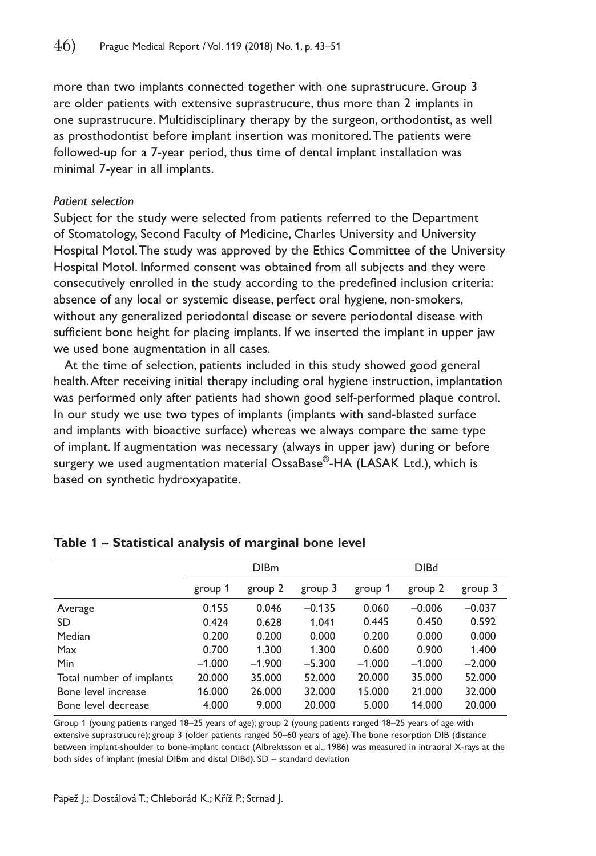more than two implants connected together with one suprastrucure. Group 3 are older patients with extensive suprastrucure, thus more than 2 implants in one suprastrucure. Multidisciplinary therapy by the surgeon, orthodontist, as well as prosthodontist before implant insertion was monitored. The patients were followed-up for a 7-year period, thus time of dental implant installation was minimal 7-year in all implants.

#### *Patient selection*

Subject for the study were selected from patients referred to the Department of Stomatology, Second Faculty of Medicine, Charles University and University Hospital Motol. The study was approved by the Ethics Committee of the University Hospital Motol. Informed consent was obtained from all subjects and they were consecutively enrolled in the study according to the predefined inclusion criteria: absence of any local or systemic disease, perfect oral hygiene, non-smokers, without any generalized periodontal disease or severe periodontal disease with sufficient bone height for placing implants. If we inserted the implant in upper jaw we used bone augmentation in all cases.

At the time of selection, patients included in this study showed good general health. After receiving initial therapy including oral hygiene instruction, implantation was performed only after patients had shown good self-performed plaque control. In our study we use two types of implants (implants with sand-blasted surface and implants with bioactive surface) whereas we always compare the same type of implant. If augmentation was necessary (always in upper jaw) during or before surgery we used augmentation material OssaBase®-HA (LASAK Ltd.), which is based on synthetic hydroxyapatite.

|                          | <b>DIBm</b> |          |          | <b>DIBd</b> |          |          |
|--------------------------|-------------|----------|----------|-------------|----------|----------|
|                          | group 1     | group 2  | group 3  | group 1     | group 2  | group 3  |
| Average                  | 0.155       | 0.046    | $-0.135$ | 0.060       | $-0.006$ | $-0.037$ |
| <b>SD</b>                | 0.424       | 0.628    | 1.041    | 0.445       | 0.450    | 0.592    |
| Median                   | 0.200       | 0.200    | 0.000    | 0.200       | 0.000    | 0.000    |
| Max                      | 0.700       | 1.300    | 1.300    | 0.600       | 0.900    | 1.400    |
| Min                      | $-1.000$    | $-1.900$ | $-5.300$ | $-1.000$    | $-1.000$ | $-2.000$ |
| Total number of implants | 20.000      | 35,000   | 52.000   | 20.000      | 35.000   | 52.000   |
| Bone level increase      | 16.000      | 26.000   | 32.000   | 15.000      | 21.000   | 32.000   |
| Bone level decrease      | 4.000       | 9.000    | 20.000   | 5.000       | 14.000   | 20.000   |

|  | Table 1 - Statistical analysis of marginal bone level |  |  |  |  |
|--|-------------------------------------------------------|--|--|--|--|
|--|-------------------------------------------------------|--|--|--|--|

Group 1 (young patients ranged 18–25 years of age); group 2 (young patients ranged 18–25 years of age with extensive suprastrucure); group 3 (older patients ranged 50–60 years of age). The bone resorption DIB (distance between implant-shoulder to bone-implant contact (Albrektsson et al., 1986) was measured in intraoral X-rays at the both sides of implant (mesial DIBm and distal DIBd). SD – standard deviation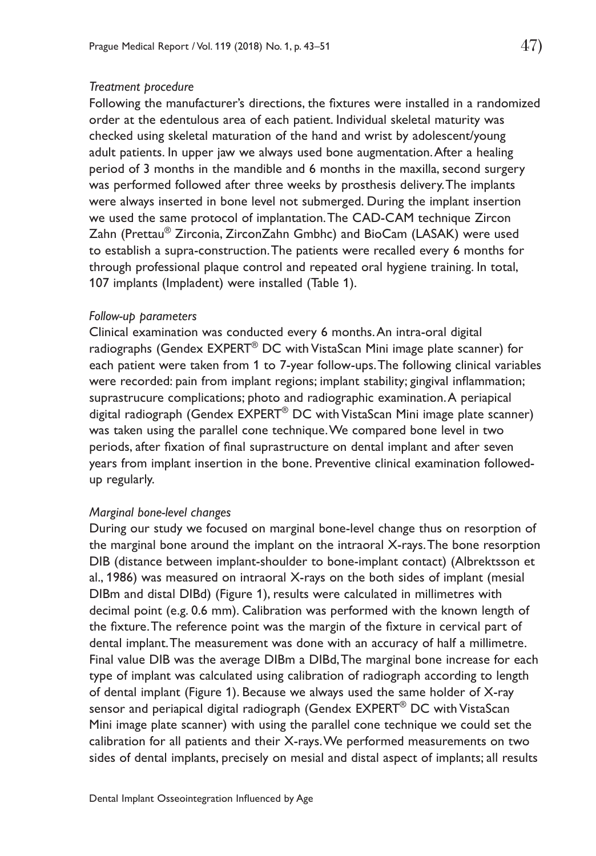#### *Treatment procedure*

Following the manufacturer's directions, the fixtures were installed in a randomized order at the edentulous area of each patient. Individual skeletal maturity was checked using skeletal maturation of the hand and wrist by adolescent/young adult patients. In upper jaw we always used bone augmentation. After a healing period of 3 months in the mandible and 6 months in the maxilla, second surgery was performed followed after three weeks by prosthesis delivery. The implants were always inserted in bone level not submerged. During the implant insertion we used the same protocol of implantation. The CAD-CAM technique Zircon Zahn (Prettau® Zirconia, ZirconZahn Gmbhc) and BioCam (LASAK) were used to establish a supra-construction. The patients were recalled every 6 months for through professional plaque control and repeated oral hygiene training. In total, 107 implants (Impladent) were installed (Table 1).

#### *Follow-up parameters*

Clinical examination was conducted every 6 months. An intra-oral digital radiographs (Gendex EXPERT® DC with VistaScan Mini image plate scanner) for each patient were taken from 1 to 7-year follow-ups. The following clinical variables were recorded: pain from implant regions; implant stability; gingival inflammation; suprastrucure complications; photo and radiographic examination. A periapical digital radiograph (Gendex EXPERT<sup>®</sup> DC with VistaScan Mini image plate scanner) was taken using the parallel cone technique. We compared bone level in two periods, after fixation of final suprastructure on dental implant and after seven years from implant insertion in the bone. Preventive clinical examination followedup regularly.

#### *Marginal bone-level changes*

During our study we focused on marginal bone-level change thus on resorption of the marginal bone around the implant on the intraoral X-rays. The bone resorption DIB (distance between implant-shoulder to bone-implant contact) (Albrektsson et al., 1986) was measured on intraoral X-rays on the both sides of implant (mesial DIBm and distal DIBd) (Figure 1), results were calculated in millimetres with decimal point (e.g. 0.6 mm). Calibration was performed with the known length of the fixture. The reference point was the margin of the fixture in cervical part of dental implant. The measurement was done with an accuracy of half a millimetre. Final value DIB was the average DIBm a DIBd, The marginal bone increase for each type of implant was calculated using calibration of radiograph according to length of dental implant (Figure 1). Because we always used the same holder of X-ray sensor and periapical digital radiograph (Gendex EXPERT<sup>®</sup> DC with VistaScan Mini image plate scanner) with using the parallel cone technique we could set the calibration for all patients and their X-rays. We performed measurements on two sides of dental implants, precisely on mesial and distal aspect of implants; all results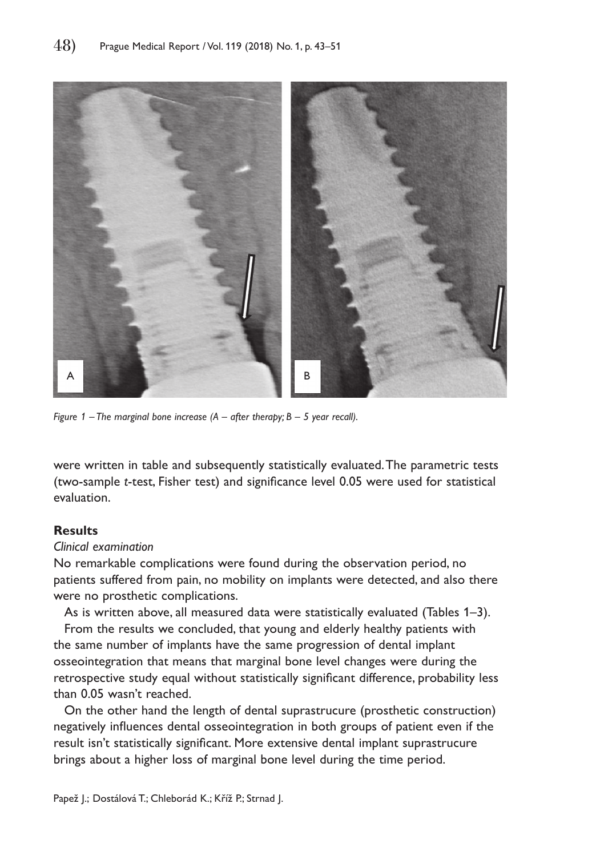

*Figure 1 – The marginal bone increase (A – after therapy; B – 5 year recall).*

were written in table and subsequently statistically evaluated. The parametric tests (two-sample *t*-test, Fisher test) and significance level 0.05 were used for statistical evaluation.

# **Results**

#### *Clinical examination*

No remarkable complications were found during the observation period, no patients suffered from pain, no mobility on implants were detected, and also there were no prosthetic complications.

As is written above, all measured data were statistically evaluated (Tables 1–3).

From the results we concluded, that young and elderly healthy patients with the same number of implants have the same progression of dental implant osseointegration that means that marginal bone level changes were during the retrospective study equal without statistically significant difference, probability less than 0.05 wasn't reached.

On the other hand the length of dental suprastrucure (prosthetic construction) negatively influences dental osseointegration in both groups of patient even if the result isn't statistically significant. More extensive dental implant suprastrucure brings about a higher loss of marginal bone level during the time period.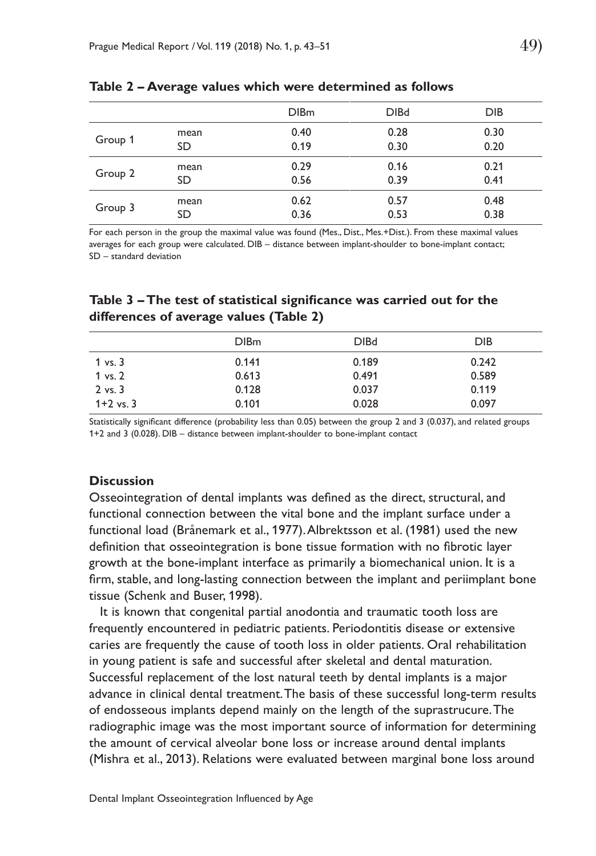|         |      | <b>DIBm</b> | <b>DIBd</b> | <b>DIB</b> |
|---------|------|-------------|-------------|------------|
| Group 1 | mean | 0.40        | 0.28        | 0.30       |
|         | SD   | 0.19        | 0.30        | 0.20       |
| Group 2 | mean | 0.29        | 0.16        | 0.21       |
|         | SD   | 0.56        | 0.39        | 0.41       |
| Group 3 | mean | 0.62        | 0.57        | 0.48       |
|         | SD   | 0.36        | 0.53        | 0.38       |

**Table 2 – Average values which were determined as follows**

For each person in the group the maximal value was found (Mes., Dist., Mes.+Dist.). From these maximal values averages for each group were calculated. DIB – distance between implant-shoulder to bone-implant contact; SD – standard deviation

## **Table 3 – The test of statistical significance was carried out for the differences of average values (Table 2)**

|                    | <b>DIBm</b> | <b>DIBd</b> | DIB.  |
|--------------------|-------------|-------------|-------|
| $1 \text{ vs. } 3$ | 0.141       | 0.189       | 0.242 |
| 1 vs. 2            | 0.613       | 0.491       | 0.589 |
| $2$ vs. $3$        | 0.128       | 0.037       | 0.119 |
| $1+2$ vs. 3        | 0.101       | 0.028       | 0.097 |

Statistically significant difference (probability less than 0.05) between the group 2 and 3 (0.037), and related groups 1+2 and 3 (0.028). DIB – distance between implant-shoulder to bone-implant contact

#### **Discussion**

Osseointegration of dental implants was defined as the direct, structural, and functional connection between the vital bone and the implant surface under a functional load (Brånemark et al., 1977). Albrektsson et al. (1981) used the new definition that osseointegration is bone tissue formation with no fibrotic layer growth at the bone-implant interface as primarily a biomechanical union. It is a firm, stable, and long-lasting connection between the implant and periimplant bone tissue (Schenk and Buser, 1998).

It is known that congenital partial anodontia and traumatic tooth loss are frequently encountered in pediatric patients. Periodontitis disease or extensive caries are frequently the cause of tooth loss in older patients. Oral rehabilitation in young patient is safe and successful after skeletal and dental maturation. Successful replacement of the lost natural teeth by dental implants is a major advance in clinical dental treatment. The basis of these successful long-term results of endosseous implants depend mainly on the length of the suprastrucure. The radiographic image was the most important source of information for determining the amount of cervical alveolar bone loss or increase around dental implants (Mishra et al., 2013). Relations were evaluated between marginal bone loss around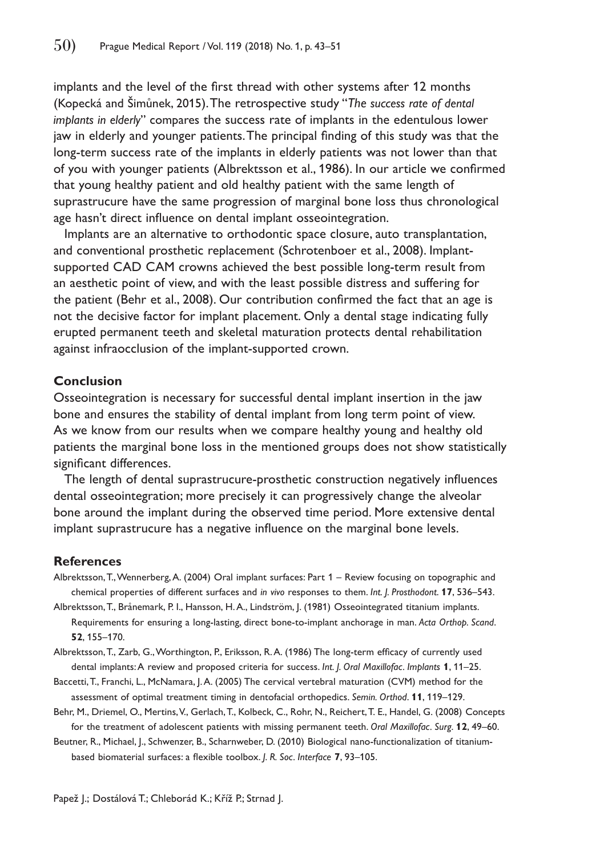implants and the level of the first thread with other systems after 12 months (Kopecká and Šimůnek, 2015). The retrospective study "*The success rate of dental implants in elderly*" compares the success rate of implants in the edentulous lower jaw in elderly and younger patients. The principal finding of this study was that the long-term success rate of the implants in elderly patients was not lower than that of you with younger patients (Albrektsson et al., 1986). In our article we confirmed that young healthy patient and old healthy patient with the same length of suprastrucure have the same progression of marginal bone loss thus chronological age hasn't direct influence on dental implant osseointegration.

Implants are an alternative to orthodontic space closure, auto transplantation, and conventional prosthetic replacement (Schrotenboer et al., 2008). Implantsupported CAD CAM crowns achieved the best possible long-term result from an aesthetic point of view, and with the least possible distress and suffering for the patient (Behr et al., 2008). Our contribution confirmed the fact that an age is not the decisive factor for implant placement. Only a dental stage indicating fully erupted permanent teeth and skeletal maturation protects dental rehabilitation against infraocclusion of the implant-supported crown.

#### **Conclusion**

Osseointegration is necessary for successful dental implant insertion in the jaw bone and ensures the stability of dental implant from long term point of view. As we know from our results when we compare healthy young and healthy old patients the marginal bone loss in the mentioned groups does not show statistically significant differences.

The length of dental suprastrucure-prosthetic construction negatively influences dental osseointegration; more precisely it can progressively change the alveolar bone around the implant during the observed time period. More extensive dental implant suprastrucure has a negative influence on the marginal bone levels.

#### **References**

- Albrektsson, T., Wennerberg, A. (2004) Oral implant surfaces: Part 1 Review focusing on topographic and chemical properties of different surfaces and *in vivo* responses to them. *Int. J. Prosthodont*. **17**, 536–543.
- Albrektsson, T., Brånemark, P. I., Hansson, H. A., Lindström, J. (1981) Osseointegrated titanium implants. Requirements for ensuring a long-lasting, direct bone-to-implant anchorage in man. *Acta Orthop. Scand*. **52**, 155–170.

Albrektsson, T., Zarb, G., Worthington, P., Eriksson, R. A. (1986) The long-term efficacy of currently used dental implants: A review and proposed criteria for success. *Int. J. Oral Maxillofac. Implants* **1**, 11–25.

- Baccetti, T., Franchi, L., McNamara, J. A. (2005) The cervical vertebral maturation (CVM) method for the assessment of optimal treatment timing in dentofacial orthopedics. *Semin. Orthod*. **11**, 119–129.
- Behr, M., Driemel, O., Mertins, V., Gerlach, T., Kolbeck, C., Rohr, N., Reichert, T. E., Handel, G. (2008) Concepts for the treatment of adolescent patients with missing permanent teeth. *Oral Maxillofac. Surg*. **12**, 49–60.

Beutner, R., Michael, J., Schwenzer, B., Scharnweber, D. (2010) Biological nano-functionalization of titaniumbased biomaterial surfaces: a flexible toolbox. *J. R. Soc. Interface* **7**, 93–105.